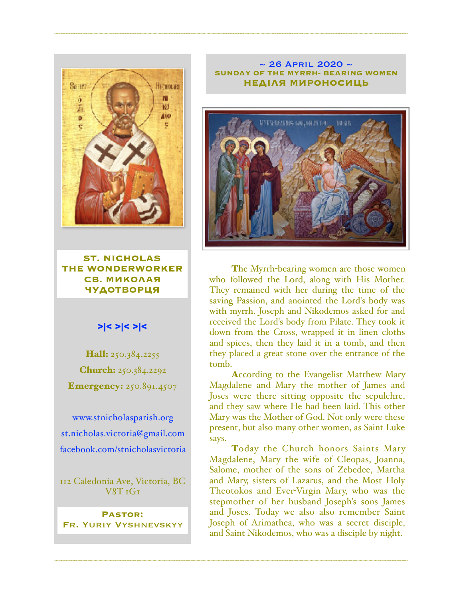

**ST. NICHOLAS THE WONDERWORKER СВ. МИКОЛАЯ ЧУДОТВОРЦЯ**

#### >|< >|< >|<

Hall: 250.384.2255 Church: 250.384.2292 **Emergency: 250.891.4507** 

[www.stnicholasparish.org](http://www.stnicholasparish.org) [st.nicholas.victoria@gmail.com](mailto:st.nicholas.victoria@gmail.com) [facebook.com/stnicholasvictoria](http://facebook.com/stnicholasvictoria)

112 Caledonia Ave, Victoria, BC  $V8T TGT$ 

**Pastor:**  Fr. Yuriy Vyshnevskyy

#### $\sim$  26 April 2020  $\sim$ **SUNDAY OF THE MYRRH- BEARING WOMEN НЕДІЛЯ МИРОНОСИЦЬ**

~~~~~~~~~~~~~~~~~~~~~~~~~~~~~~~~~~~~~~~~~~~~~~~~~~~~~~~~~~~~~~~~~~~~~~~~



The Myrrh-bearing women are those women who followed the Lord, along with His Mother. They remained with her during the time of the saving Passion, and anointed the Lord's body was with myrrh. Joseph and Nikodemos asked for and received the Lord's body from Pilate. They took it down from the Cross, wrapped it in linen cloths and spices, then they laid it in a tomb, and then they placed a great stone over the entrance of the tomb.

According to the Evangelist Matthew Mary Magdalene and Mary the mother of James and Joses were there sitting opposite the sepulchre, and they saw where He had been laid. This other Mary was the Mother of God. Not only were these present, but also many other women, as Saint Luke says.

Today the Church honors Saints Mary Magdalene, Mary the wife of Cleopas, Joanna, Salome, mother of the sons of Zebedee, Martha and Mary, sisters of Lazarus, and the Most Holy Theotokos and Ever-Virgin Mary, who was the stepmother of her husband Joseph's sons James and Joses. Today we also also remember Saint Joseph of Arimathea, who was a secret disciple, and Saint Nikodemos, who was a disciple by night.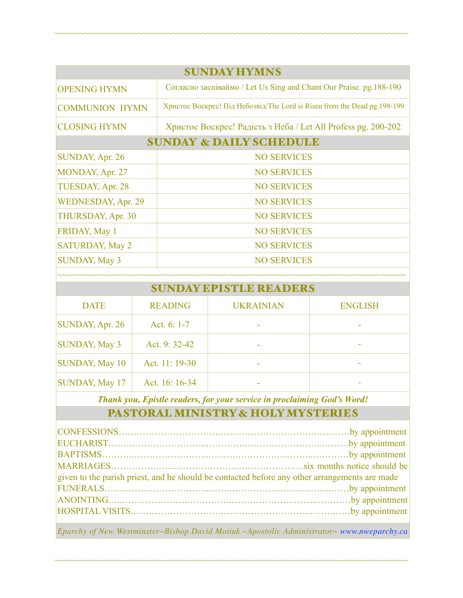| <b>SUNDAY HYMNS</b>                |                                                                           |  |  |  |
|------------------------------------|---------------------------------------------------------------------------|--|--|--|
| <b>OPENING HYMN</b>                | Согласно заспіваймо / Let Us Sing and Chant Our Praise. pg.188-190        |  |  |  |
| <b>COMMUNION HYMN</b>              | Христос Воскрес! Під Небозвід/The Lord is Risen from the Dead pg. 198-199 |  |  |  |
| <b>CLOSING HYMN</b>                | Христос Воскрес! Радість з Неба / Let All Profess pg. 200-202             |  |  |  |
| <b>SUNDAY &amp; DAILY SCHEDULE</b> |                                                                           |  |  |  |
| SUNDAY, Apr. 26                    | <b>NO SERVICES</b>                                                        |  |  |  |
| MONDAY, Apr. 27                    | <b>NO SERVICES</b>                                                        |  |  |  |
| TUESDAY, Apr. 28                   | <b>NO SERVICES</b>                                                        |  |  |  |
| <b>WEDNESDAY, Apr. 29</b>          | <b>NO SERVICES</b>                                                        |  |  |  |
| THURSDAY, Apr. 30                  | <b>NO SERVICES</b>                                                        |  |  |  |
| FRIDAY, May 1                      | <b>NO SERVICES</b>                                                        |  |  |  |
| <b>SATURDAY, May 2</b>             | <b>NO SERVICES</b>                                                        |  |  |  |
| <b>SUNDAY, May 3</b>               | <b>NO SERVICES</b>                                                        |  |  |  |
|                                    |                                                                           |  |  |  |

~~~~~~~~~~~~~~~~~~~~~~~~~~~~~~~~~~~~~~~~~~~~~~~~~~~~~~~~~~~~~~~~~~~~~~~~

| <b>SUNDAY EPISTLE READERS</b> |                |                  |                |  |  |
|-------------------------------|----------------|------------------|----------------|--|--|
| <b>DATE</b>                   | <b>READING</b> | <b>UKRAINIAN</b> | <b>ENGLISH</b> |  |  |
| SUNDAY, Apr. 26               | Act. $6: 1-7$  |                  |                |  |  |
| <b>SUNDAY, May 3</b>          | Act. 9:32-42   |                  |                |  |  |
| <b>SUNDAY, May 10</b>         | Act. 11: 19-30 |                  |                |  |  |
| <b>SUNDAY, May 17</b>         | Act. 16: 16-34 |                  |                |  |  |

*Thank you, Epistle readers, for your service in proclaiming God's Word!*

# PASTORAL MINISTRY & HOLY MYSTERIES

| given to the parish priest, and he should be contacted before any other arrangements are made |  |  |
|-----------------------------------------------------------------------------------------------|--|--|
|                                                                                               |  |  |
|                                                                                               |  |  |
|                                                                                               |  |  |
|                                                                                               |  |  |

*Eparchy of New Westminster~Bishop David Motiuk ~Apostolic Administrator~ [www.nweparchy.ca](http://www.nweparchy.ca)*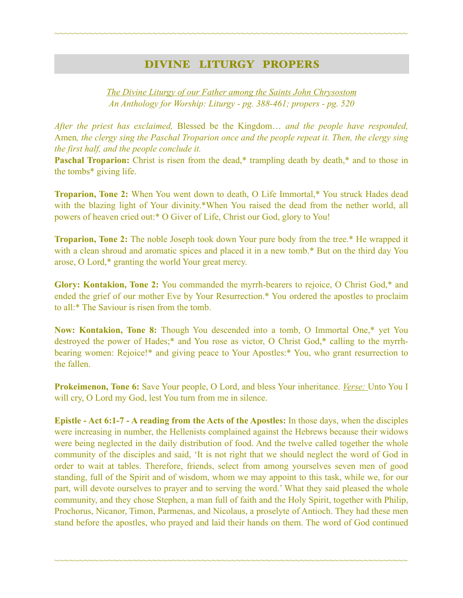### DIVINE LITURGY PROPERS

~~~~~~~~~~~~~~~~~~~~~~~~~~~~~~~~~~~~~~~~~~~~~~~~~~~~~~~~~~~~~~~~~~~~~~~~

*The Divine Liturgy of our Father among the Saints John Chrysostom An Anthology for Worship: Liturgy - pg. 388-461; propers - pg. 520* 

*After the priest has exclaimed,* Blessed be the Kingdom… *and the people have responded,*  Amen*, the clergy sing the Paschal Troparion once and the people repeat it. Then, the clergy sing the first half, and the people conclude it.*

**Paschal Troparion:** Christ is risen from the dead,\* trampling death by death,\* and to those in the tombs\* giving life.

**Troparion, Tone 2:** When You went down to death, O Life Immortal,\* You struck Hades dead with the blazing light of Your divinity.\*When You raised the dead from the nether world, all powers of heaven cried out:\* O Giver of Life, Christ our God, glory to You!

**Troparion, Tone 2:** The noble Joseph took down Your pure body from the tree.\* He wrapped it with a clean shroud and aromatic spices and placed it in a new tomb.\* But on the third day You arose, O Lord,\* granting the world Your great mercy.

**Glory: Kontakion, Tone 2:** You commanded the myrrh-bearers to rejoice, O Christ God,\* and ended the grief of our mother Eve by Your Resurrection.\* You ordered the apostles to proclaim to all:\* The Saviour is risen from the tomb.

**Now: Kontakion, Tone 8:** Though You descended into a tomb, O Immortal One,\* yet You destroyed the power of Hades;\* and You rose as victor, O Christ God,\* calling to the myrrhbearing women: Rejoice!\* and giving peace to Your Apostles:\* You, who grant resurrection to the fallen.

**Prokeimenon, Tone 6:** Save Your people, O Lord, and bless Your inheritance. *Verse:* Unto You I will cry, O Lord my God, lest You turn from me in silence.

**Epistle - Act 6:1-7 - A reading from the Acts of the Apostles:** In those days, when the disciples were increasing in number, the Hellenists complained against the Hebrews because their widows were being neglected in the daily distribution of food. And the twelve called together the whole community of the disciples and said, 'It is not right that we should neglect the word of God in order to wait at tables. Therefore, friends, select from among yourselves seven men of good standing, full of the Spirit and of wisdom, whom we may appoint to this task, while we, for our part, will devote ourselves to prayer and to serving the word.' What they said pleased the whole community, and they chose Stephen, a man full of faith and the Holy Spirit, together with Philip, Prochorus, Nicanor, Timon, Parmenas, and Nicolaus, a proselyte of Antioch. They had these men stand before the apostles, who prayed and laid their hands on them. The word of God continued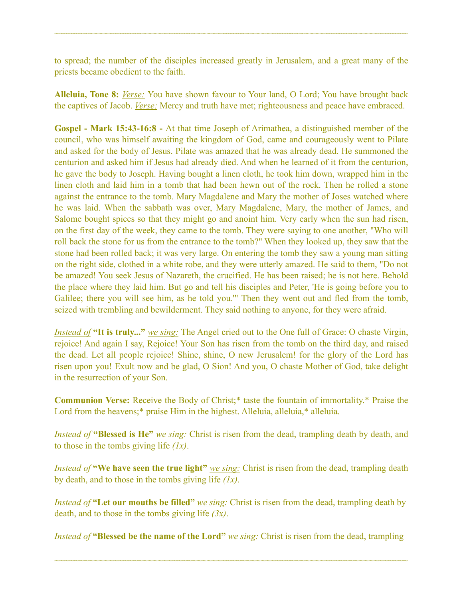to spread; the number of the disciples increased greatly in Jerusalem, and a great many of the priests became obedient to the faith.

~~~~~~~~~~~~~~~~~~~~~~~~~~~~~~~~~~~~~~~~~~~~~~~~~~~~~~~~~~~~~~~~~~~~~~~~

**Alleluia, Tone 8:** *Verse:* You have shown favour to Your land, O Lord; You have brought back the captives of Jacob. *Verse:* Mercy and truth have met; righteousness and peace have embraced.

**Gospel - Mark 15:43-16:8 -** At that time Joseph of Arimathea, a distinguished member of the council, who was himself awaiting the kingdom of God, came and courageously went to Pilate and asked for the body of Jesus. Pilate was amazed that he was already dead. He summoned the centurion and asked him if Jesus had already died. And when he learned of it from the centurion, he gave the body to Joseph. Having bought a linen cloth, he took him down, wrapped him in the linen cloth and laid him in a tomb that had been hewn out of the rock. Then he rolled a stone against the entrance to the tomb. Mary Magdalene and Mary the mother of Joses watched where he was laid. When the sabbath was over, Mary Magdalene, Mary, the mother of James, and Salome bought spices so that they might go and anoint him. Very early when the sun had risen, on the first day of the week, they came to the tomb. They were saying to one another, "Who will roll back the stone for us from the entrance to the tomb?" When they looked up, they saw that the stone had been rolled back; it was very large. On entering the tomb they saw a young man sitting on the right side, clothed in a white robe, and they were utterly amazed. He said to them, "Do not be amazed! You seek Jesus of Nazareth, the crucified. He has been raised; he is not here. Behold the place where they laid him. But go and tell his disciples and Peter, 'He is going before you to Galilee; there you will see him, as he told you.'" Then they went out and fled from the tomb, seized with trembling and bewilderment. They said nothing to anyone, for they were afraid.

*Instead of* **"It is truly..."** *we sing:* The Angel cried out to the One full of Grace: O chaste Virgin, rejoice! And again I say, Rejoice! Your Son has risen from the tomb on the third day, and raised the dead. Let all people rejoice! Shine, shine, O new Jerusalem! for the glory of the Lord has risen upon you! Exult now and be glad, O Sion! And you, O chaste Mother of God, take delight in the resurrection of your Son.

**Communion Verse:** Receive the Body of Christ;\* taste the fountain of immortality.\* Praise the Lord from the heavens;\* praise Him in the highest. Alleluia, alleluia,\* alleluia.

*Instead of* **"Blessed is He"** *we sing:* Christ is risen from the dead, trampling death by death, and to those in the tombs giving life *(1x)*.

*Instead of* "We have seen the true light" *we sing:* Christ is risen from the dead, trampling death by death, and to those in the tombs giving life *(1x)*.

*Instead of* "Let our mouths be filled" *we sing:* Christ is risen from the dead, trampling death by death, and to those in the tombs giving life *(3x)*.

*Instead of* **"Blessed be the name of the Lord"** *we sing:* Christ is risen from the dead, trampling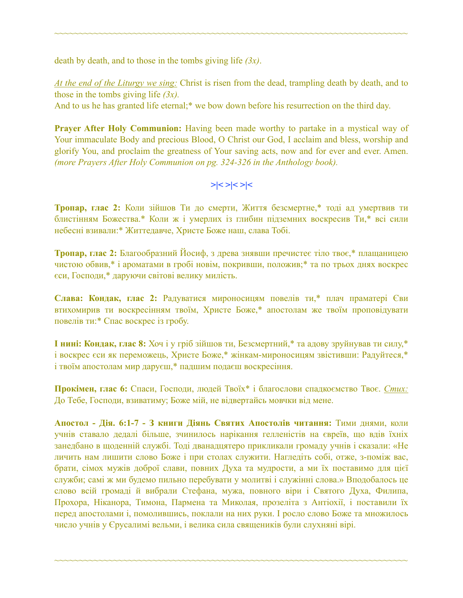death by death, and to those in the tombs giving life *(3x)*.

*At the end of the Liturgy we sing:* Christ is risen from the dead, trampling death by death, and to those in the tombs giving life *(3x).*

~~~~~~~~~~~~~~~~~~~~~~~~~~~~~~~~~~~~~~~~~~~~~~~~~~~~~~~~~~~~~~~~~~~~~~~~

And to us he has granted life eternal;<sup>\*</sup> we bow down before his resurrection on the third day.

**Prayer After Holy Communion:** Having been made worthy to partake in a mystical way of Your immaculate Body and precious Blood, O Christ our God, I acclaim and bless, worship and glorify You, and proclaim the greatness of Your saving acts, now and for ever and ever. Amen. *(more Prayers After Holy Communion on pg. 324-326 in the Anthology book).* 

# **>|< >|< >|<**

**Тропар, глас 2:** Коли зійшов Ти до смерти, Життя безсмертне,\* тоді ад умертвив ти блистінням Божества.\* Коли ж і умерлих із глибин підземних воскресив Ти,\* всі сили небесні взивали:\* Життедавче, Христе Боже наш, слава Тобі.

**Тропар, глас 2:** Благообразний Йосиф, з древа знявши пречистеє тіло твоє,\* плащаницею чистою обвив,\* і ароматами в гробі новім, покривши, положив;\* та по трьох днях воскрес єси, Господи,\* даруючи світові велику милість.

**Слава: Кондак, глас 2:** Радуватися мироносицям повелів ти,\* плач праматері Єви втихомирив ти воскресінням твоїм, Христе Боже,\* апостолам же твоїм проповідувати повелів ти:\* Спас воскрес із гробу.

**І нині: Кондак, глас 8:** Хоч і у гріб зійшов ти, Безсмертний,\* та адову зруйнував ти силу,\* і воскрес єси як переможець, Христе Боже,\* жінкам-мироносицям звістивши: Радуйтеся,\* і твоїм апостолам мир даруєш,\* падшим подаєш воскресіння.

**Прокімен, глас 6:** Спаси, Господи, людей Твоїх\* і благослови спадкоємство Твоє. *Стих:*  До Тебе, Господи, взиватиму; Боже мій, не відвертайсь мовчки від мене.

**Апостол - Дія. 6:1-7 - З книги Діянь Святих Апостолів читання:** Тими днями, коли учнів ставало дедалі більше, зчинилось нарікання гелленістів на євреїв, що вдів їхніх занедбано в щоденній службі. Тоді дванадцятеро прикликали громаду учнів і сказали: «Не личить нам лишити слово Боже і при столах служити. Нагледіть собі, отже, з-поміж вас, брати, сімох мужів доброї слави, повних Духа та мудрости, а ми їх поставимо для цієї служби; самі ж ми будемо пильно перебувати у молитві і служінні слова.» Вподобалось це слово всій громаді й вибрали Стефана, мужа, повного віри і Святого Духа, Филипа, Прохора, Ніканора, Тимона, Пармена та Миколая, прозеліта з Антіохії, і поставили їх перед апостолами і, помолившись, поклали на них руки. І росло слово Боже та множилось число учнів у Єрусалимі вельми, і велика сила священиків були слухняні вірі.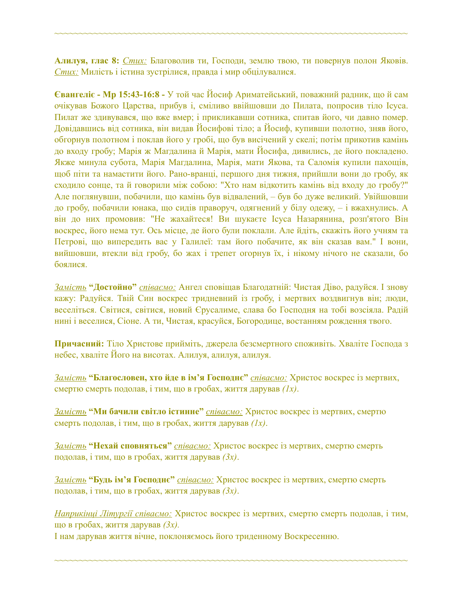**Алилуя, глас 8:** *Стих:* Благоволив ти, Господи, землю твою, ти повернув полон Яковів. *Стих:* Милість і істина зустрілися, правда і мир обцілувалися.

~~~~~~~~~~~~~~~~~~~~~~~~~~~~~~~~~~~~~~~~~~~~~~~~~~~~~~~~~~~~~~~~~~~~~~~~

**Євангеліє - Мр 15:43-16:8 -** У той час Йосиф Ариматейський, поважний радник, що й сам очікував Божого Царства, прибув і, сміливо ввійшовши до Пилата, попросив тіло Ісуса. Пилат же здивувався, що вже вмер; і прикликавши сотника, спитав його, чи давно помер. Довідавшись від сотника, він видав Йосифові тіло; а Йосиф, купивши полотно, зняв його, обгорнув полотном і поклав його у гробі, що був висічений у скелі; потім прикотив камінь до входу гробу; Марія ж Магдалина й Марія, мати Йосифа, дивились, де його покладено. Якже минула субота, Марія Магдалина, Марія, мати Якова, та Саломія купили пахощів, щоб піти та намастити його. Рано-вранці, першого дня тижня, прийшли вони до гробу, як сходило сонце, та й говорили між собою: "Хто нам відкотить камінь від входу до гробу?" Але поглянувши, побачили, що камінь був відвалений, – був бо дуже великий. Увійшовши до гробу, побачили юнака, що сидів праворуч, одягнений у білу одежу, – і вжахнулись. А він до них промовив: "Не жахайтеся! Ви шукаєте Ісуса Назарянина, розп'ятого Він воскрес, його нема тут. Ось місце, де його були поклали. Але йдіть, скажіть його учням та Петрові, що випередить вас у Галилеї: там його побачите, як він сказав вам." І вони, вийшовши, втекли від гробу, бо жах і трепет огорнув їх, і нікому нічого не сказали, бо боялися.

*Замість* **"Достойно"** *співаємо:* Ангел сповіщав Благодатній: Чистая Діво, радуйся. І знову кажу: Радуйся. Твій Син воскрес тридневний із гробу, і мертвих воздвигнув він; люди, веселіться. Світися, світися, новий Єрусалиме, слава бо Господня на тобі возсіяла. Радій нині і веселися, Сіоне. А ти, Чистая, красуйся, Богородице, востанням рождення твого.

**Причасний:** Тіло Христове прийміть, джерела безсмертного споживіть. Хваліте Господа з небес, хваліте Його на висотах. Алилуя, aлилуя, aлилуя.

*Замість* **"Благословен, хто йде в ім'я Господнє"** *співаємо:* Христос воскрес із мертвих, смертю смерть подолав, і тим, що в гробах, життя дарував *(1x)*.

*Замість* **"Ми бачили світло істинне"** *співаємо:* Христос воскрес із мертвих, смертю смерть подолав, і тим, що в гробах, життя дарував *(1x)*.

*Замість* **"Нехай сповняться"** *співаємо:* Христос воскрес із мертвих, смертю смерть подолав, і тим, що в гробах, життя дарував *(3x)*.

*Замість* **"Будь ім'я Господнє"** *співаємо:* Христос воскрес із мертвих, смертю смерть подолав, і тим, що в гробах, життя дарував *(3x)*.

*Наприкінці Літургії співаємо:* Христос воскрес із мертвих, смертю смерть подолав, і тим, що в гробах, життя дарував *(3x).*

~~~~~~~~~~~~~~~~~~~~~~~~~~~~~~~~~~~~~~~~~~~~~~~~~~~~~~~~~~~~~~~~~~~~~~~~

І нам дарував життя вічне, поклоняємось його триденному Воскресенню.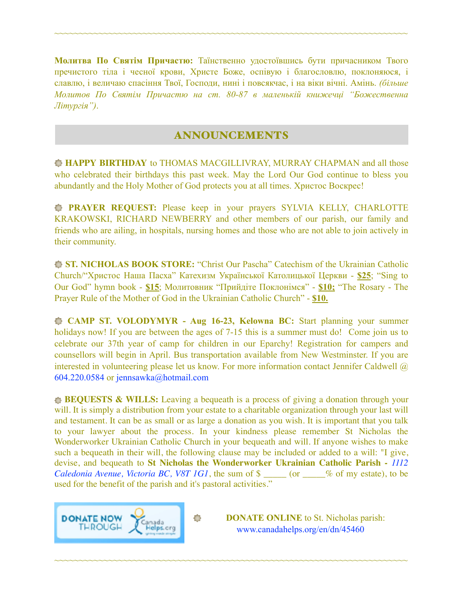**Молитва По Святім Причастю:** Таїнственно удостоївшись бути причасником Твого пречистого тіла і чесної крови, Христе Боже, оспівую і благословлю, поклоняюся, і славлю, і величаю спасіння Твої, Господи, нині і повсякчас, і на віки вічні. Амінь. *(більше Молитов По Святім Причастю на ст. 80-87 в маленькій книжечці "Божественна Літургія")*.

~~~~~~~~~~~~~~~~~~~~~~~~~~~~~~~~~~~~~~~~~~~~~~~~~~~~~~~~~~~~~~~~~~~~~~~~

## ANNOUNCEMENTS

**HAPPY BIRTHDAY** to THOMAS MACGILLIVRAY, MURRAY CHAPMAN and all those who celebrated their birthdays this past week. May the Lord Our God continue to bless you abundantly and the Holy Mother of God protects you at all times. Христос Воскрес!

**PRAYER REQUEST:** Please keep in your prayers SYLVIA KELLY, CHARLOTTE KRAKOWSKI, RICHARD NEWBERRY and other members of our parish, our family and friends who are ailing, in hospitals, nursing homes and those who are not able to join actively in their community.

**ST. NICHOLAS BOOK STORE:** "Christ Our Pascha" Catechism of the Ukrainian Catholic Church/"Христос Наша Пасха" Катехизм Української Католицької Церкви - **\$25**; "Sing to Our God" hymn book - **\$15**; Молитовник "Прийдіте Поклонімся" - **\$10;** "The Rosary - The Prayer Rule of the Mother of God in the Ukrainian Catholic Church" - **\$10.** 

 **CAMP ST. VOLODYMYR - Aug 16-23, Kelowna BC:** Start planning your summer holidays now! If you are between the ages of 7-15 this is a summer must do! Come join us to celebrate our 37th year of camp for children in our Eparchy! Registration for campers and counsellors will begin in April. Bus transportation available from New Westminster. If you are interested in volunteering please let us know. For more information contact Jennifer Caldwell @ 604.220.0584 or [jennsawka@hotmail.com](mailto:jennsawka@hotmail.com)

**BEQUESTS & WILLS:** Leaving a bequeath is a process of giving a donation through your will. It is simply a distribution from your estate to a charitable organization through your last will and testament. It can be as small or as large a donation as you wish. It is important that you talk to your lawyer about the process. In your kindness please remember St Nicholas the Wonderworker Ukrainian Catholic Church in your bequeath and will. If anyone wishes to make such a bequeath in their will, the following clause may be included or added to a will: "I give, devise, and bequeath to **St Nicholas the Wonderworker Ukrainian Catholic Parish -** *1112 Caledonia Avenue, Victoria BC, V8T 1G1*, the sum of \$ \_\_\_\_\_ (or \_\_\_\_% of my estate), to be used for the benefit of the parish and it's pastoral activities."

~~~~~~~~~~~~~~~~~~~~~~~~~~~~~~~~~~~~~~~~~~~~~~~~~~~~~~~~~~~~~~~~~~~~~~~~



**DONATE ONLINE** to St. Nicholas parish: [www.canadahelps.org/en/dn/45460](http://www.canadahelps.org/en/dn/45460)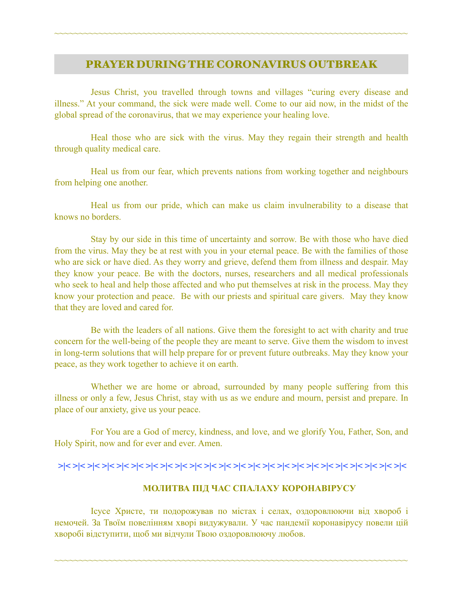#### PRAYER DURING THE CORONAVIRUS OUTBREAK

~~~~~~~~~~~~~~~~~~~~~~~~~~~~~~~~~~~~~~~~~~~~~~~~~~~~~~~~~~~~~~~~~~~~~~~~

Jesus Christ, you travelled through towns and villages "curing every disease and illness." At your command, the sick were made well. Come to our aid now, in the midst of the global spread of the coronavirus, that we may experience your healing love.

Heal those who are sick with the virus. May they regain their strength and health through quality medical care.

Heal us from our fear, which prevents nations from working together and neighbours from helping one another.

Heal us from our pride, which can make us claim invulnerability to a disease that knows no borders.

Stay by our side in this time of uncertainty and sorrow. Be with those who have died from the virus. May they be at rest with you in your eternal peace. Be with the families of those who are sick or have died. As they worry and grieve, defend them from illness and despair. May they know your peace. Be with the doctors, nurses, researchers and all medical professionals who seek to heal and help those affected and who put themselves at risk in the process. May they know your protection and peace. Be with our priests and spiritual care givers. May they know that they are loved and cared for.

Be with the leaders of all nations. Give them the foresight to act with charity and true concern for the well-being of the people they are meant to serve. Give them the wisdom to invest in long-term solutions that will help prepare for or prevent future outbreaks. May they know your peace, as they work together to achieve it on earth.

Whether we are home or abroad, surrounded by many people suffering from this illness or only a few, Jesus Christ, stay with us as we endure and mourn, persist and prepare. In place of our anxiety, give us your peace.

For You are a God of mercy, kindness, and love, and we glorify You, Father, Son, and Holy Spirit, now and for ever and ever. Amen.

 **>|< >|< >|< >|< >|< >|< >|< >|< >|< >|< >|< >|< >|< >|< >|< >|< >|< >|< >|< >|< >|< >|< >|< >|<** 

#### **МОЛИТВА ПІД ЧАС СПАЛАХУ КОРОНАВІРУСУ**

Ісусе Христе, ти подорожував по містах і селах, оздоровлюючи від хвороб і немочей. За Твоїм повелінням хворі видужували. У час пандемії коронавірусу повели цій хворобі відступити, щоб ми відчули Твою оздоровлюючу любов.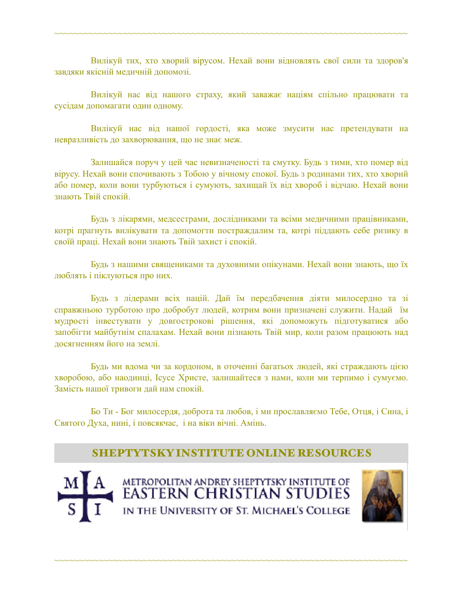Вилікуй тих, хто хворий вірусом. Нехай вони відновлять свої сили та здоров'я завдяки якісній медичній допомозі.

~~~~~~~~~~~~~~~~~~~~~~~~~~~~~~~~~~~~~~~~~~~~~~~~~~~~~~~~~~~~~~~~~~~~~~~~

Вилікуй нас від нашого страху, який заважає націям спільно працювати та сусідам допомагати один одному.

Вилікуй нас від нашої гордості, яка може змусити нас претендувати на невразливість до захворювання, що не знає меж.

Залишайся поруч у цей час невизначеності та смутку. Будь з тими, хто помер від вірусу. Нехай вони спочивають з Тобою у вічному спокої. Будь з родинами тих, хто хворий або помер, коли вони турбуються і сумують, захищай їх від хвороб і відчаю. Нехай вони знають Твій спокій.

Будь з лікарями, медсестрами, дослідниками та всіми медичними працівниками, котрі прагнуть вилікувати та допомогти постраждалим та, котрі піддають себе ризику в своїй праці. Нехай вони знають Твій захист і спокій.

Будь з нашими священиками та духовними опікунами. Нехай вони знають, що їх люблять і піклуються про них.

Будь з лідерами всіх націй. Дай їм передбачення діяти милосердно та зі справжньою турботою про добробут людей, котрим вони призначені служити. Надай їм мудрості інвестувати у довгострокові рішення, які допоможуть підготуватися або запобігти майбутнім спалахам. Нехай вони пізнають Твій мир, коли разом працюють над досягненням його на землі.

Будь ми вдома чи за кордоном, в оточенні багатьох людей, які страждають цією хворобою, або наодинці, Ісусе Христе, залишайтеся з нами, коли ми терпимо і сумуємо. Замість нашої тривоги дай нам спокій.

Бо Ти - Бог милосердя, доброта та любов, і ми прославляємо Тебе, Отця, і Сина, і Святого Духа, нині, і повсякчас, і на віки вічні. Амінь.

## SHEPTYTSKY INSTITUTE ONLINE RESOURCES



METROPOLITAN ANDREY SHEPTYTSKY INSTITUTE OF EASTERN CHRISTIAN STUDIES IN THE UNIVERSITY OF ST. MICHAEL'S COLLEGE